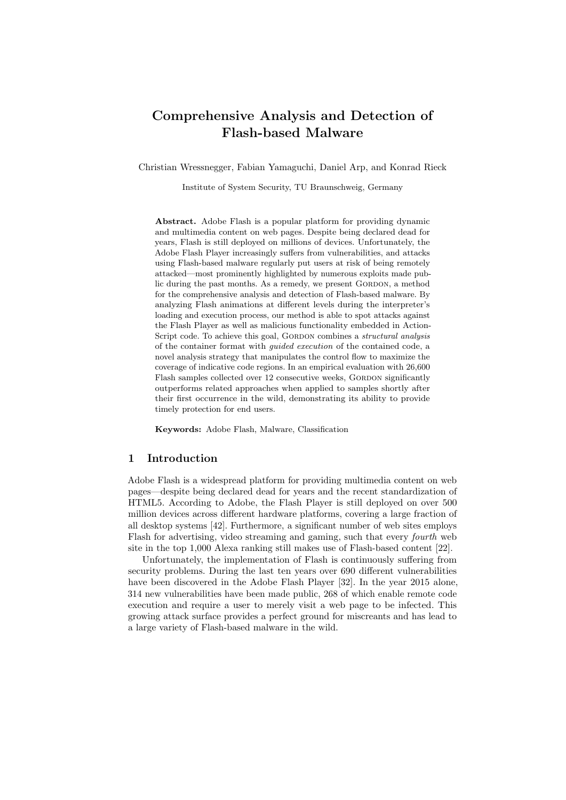# Comprehensive Analysis and Detection of Flash-based Malware

Christian Wressnegger, Fabian Yamaguchi, Daniel Arp, and Konrad Rieck

Institute of System Security, TU Braunschweig, Germany

Abstract. Adobe Flash is a popular platform for providing dynamic and multimedia content on web pages. Despite being declared dead for years, Flash is still deployed on millions of devices. Unfortunately, the Adobe Flash Player increasingly suffers from vulnerabilities, and attacks using Flash-based malware regularly put users at risk of being remotely attacked—most prominently highlighted by numerous exploits made public during the past months. As a remedy, we present GORDON, a method for the comprehensive analysis and detection of Flash-based malware. By analyzing Flash animations at different levels during the interpreter's loading and execution process, our method is able to spot attacks against the Flash Player as well as malicious functionality embedded in Action-Script code. To achieve this goal, GORDON combines a *structural analysis* of the container format with guided execution of the contained code, a novel analysis strategy that manipulates the control flow to maximize the coverage of indicative code regions. In an empirical evaluation with 26,600 Flash samples collected over 12 consecutive weeks, GORDON significantly outperforms related approaches when applied to samples shortly after their first occurrence in the wild, demonstrating its ability to provide timely protection for end users.

Keywords: Adobe Flash, Malware, Classification

# 1 Introduction

Adobe Flash is a widespread platform for providing multimedia content on web pages—despite being declared dead for years and the recent standardization of HTML5. According to Adobe, the Flash Player is still deployed on over 500 million devices across different hardware platforms, covering a large fraction of all desktop systems [42]. Furthermore, a significant number of web sites employs Flash for advertising, video streaming and gaming, such that every fourth web site in the top 1,000 Alexa ranking still makes use of Flash-based content [22].

Unfortunately, the implementation of Flash is continuously suffering from security problems. During the last ten years over 690 different vulnerabilities have been discovered in the Adobe Flash Player [32]. In the year 2015 alone, 314 new vulnerabilities have been made public, 268 of which enable remote code execution and require a user to merely visit a web page to be infected. This growing attack surface provides a perfect ground for miscreants and has lead to a large variety of Flash-based malware in the wild.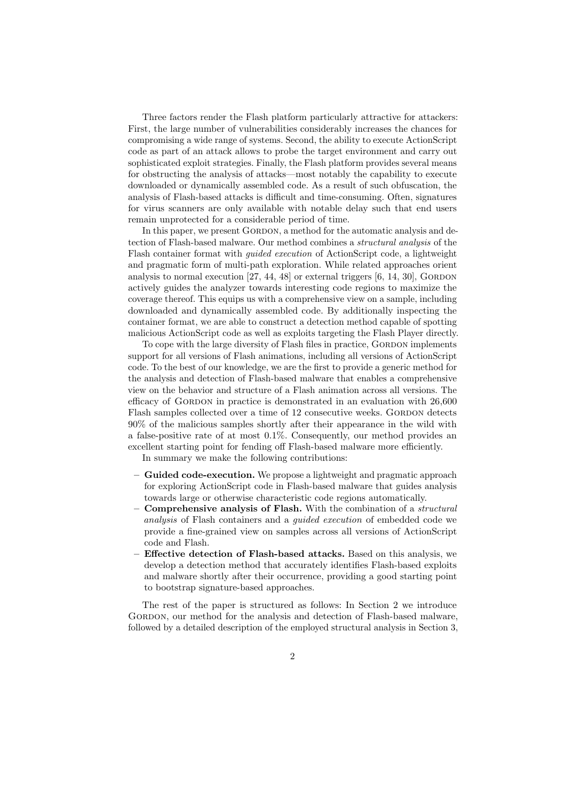Three factors render the Flash platform particularly attractive for attackers: First, the large number of vulnerabilities considerably increases the chances for compromising a wide range of systems. Second, the ability to execute ActionScript code as part of an attack allows to probe the target environment and carry out sophisticated exploit strategies. Finally, the Flash platform provides several means for obstructing the analysis of attacks—most notably the capability to execute downloaded or dynamically assembled code. As a result of such obfuscation, the analysis of Flash-based attacks is difficult and time-consuming. Often, signatures for virus scanners are only available with notable delay such that end users remain unprotected for a considerable period of time.

In this paper, we present GORDON, a method for the automatic analysis and detection of Flash-based malware. Our method combines a structural analysis of the Flash container format with guided execution of ActionScript code, a lightweight and pragmatic form of multi-path exploration. While related approaches orient analysis to normal execution  $[27, 44, 48]$  or external triggers  $[6, 14, 30]$ , GORDON actively guides the analyzer towards interesting code regions to maximize the coverage thereof. This equips us with a comprehensive view on a sample, including downloaded and dynamically assembled code. By additionally inspecting the container format, we are able to construct a detection method capable of spotting malicious ActionScript code as well as exploits targeting the Flash Player directly.

To cope with the large diversity of Flash files in practice, GORDON implements support for all versions of Flash animations, including all versions of ActionScript code. To the best of our knowledge, we are the first to provide a generic method for the analysis and detection of Flash-based malware that enables a comprehensive view on the behavior and structure of a Flash animation across all versions. The efficacy of GORDON in practice is demonstrated in an evaluation with 26,600 Flash samples collected over a time of 12 consecutive weeks. GORDON detects 90% of the malicious samples shortly after their appearance in the wild with a false-positive rate of at most 0.1%. Consequently, our method provides an excellent starting point for fending off Flash-based malware more efficiently.

In summary we make the following contributions:

- Guided code-execution. We propose a lightweight and pragmatic approach for exploring ActionScript code in Flash-based malware that guides analysis towards large or otherwise characteristic code regions automatically.
- Comprehensive analysis of Flash. With the combination of a structural analysis of Flash containers and a guided execution of embedded code we provide a fine-grained view on samples across all versions of ActionScript code and Flash.
- Effective detection of Flash-based attacks. Based on this analysis, we develop a detection method that accurately identifies Flash-based exploits and malware shortly after their occurrence, providing a good starting point to bootstrap signature-based approaches.

The rest of the paper is structured as follows: In Section 2 we introduce GORDON, our method for the analysis and detection of Flash-based malware, followed by a detailed description of the employed structural analysis in Section 3,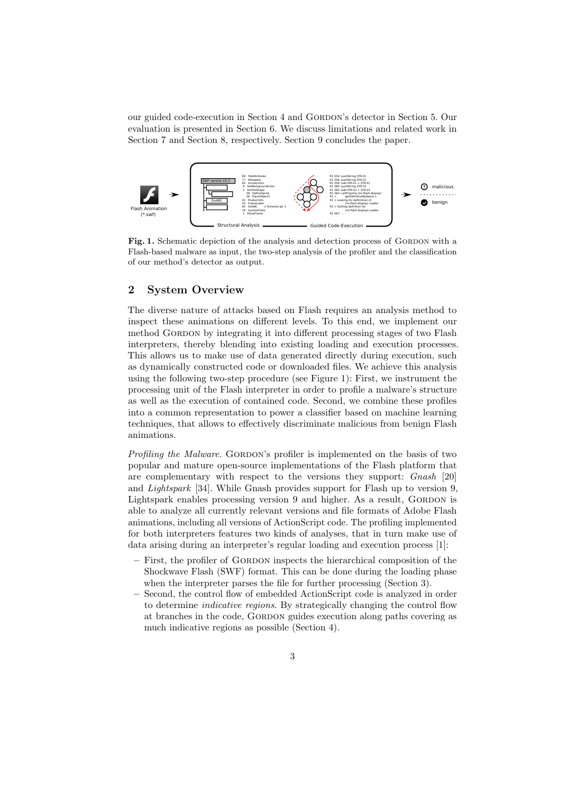our guided code-execution in Section 4 and Gordon's detector in Section 5. Our evaluation is presented in Section 6. We discuss limitations and related work in Section 7 and Section 8, respectively. Section 9 concludes the paper.



Fig. 1. Schematic depiction of the analysis and detection process of GORDON with a Flash-based malware as input, the two-step analysis of the profiler and the classification of our method's detector as output.

# 2 System Overview

The diverse nature of attacks based on Flash requires an analysis method to inspect these animations on different levels. To this end, we implement our method GORDON by integrating it into different processing stages of two Flash interpreters, thereby blending into existing loading and execution processes. This allows us to make use of data generated directly during execution, such as dynamically constructed code or downloaded files. We achieve this analysis using the following two-step procedure (see Figure 1): First, we instrument the processing unit of the Flash interpreter in order to profile a malware's structure as well as the execution of contained code. Second, we combine these profiles into a common representation to power a classifier based on machine learning techniques, that allows to effectively discriminate malicious from benign Flash animations.

Profiling the Malware. GORDON's profiler is implemented on the basis of two popular and mature open-source implementations of the Flash platform that are complementary with respect to the versions they support: Gnash [20] and Lightspark [34]. While Gnash provides support for Flash up to version 9, Lightspark enables processing version 9 and higher. As a result, GORDON is able to analyze all currently relevant versions and file formats of Adobe Flash animations, including all versions of ActionScript code. The profiling implemented for both interpreters features two kinds of analyses, that in turn make use of data arising during an interpreter's regular loading and execution process [1]:

- $-$  First, the profiler of GORDON inspects the hierarchical composition of the Shockwave Flash (SWF) format. This can be done during the loading phase when the interpreter parses the file for further processing (Section 3).
- Second, the control flow of embedded ActionScript code is analyzed in order to determine indicative regions. By strategically changing the control flow at branches in the code, GORDON guides execution along paths covering as much indicative regions as possible (Section 4).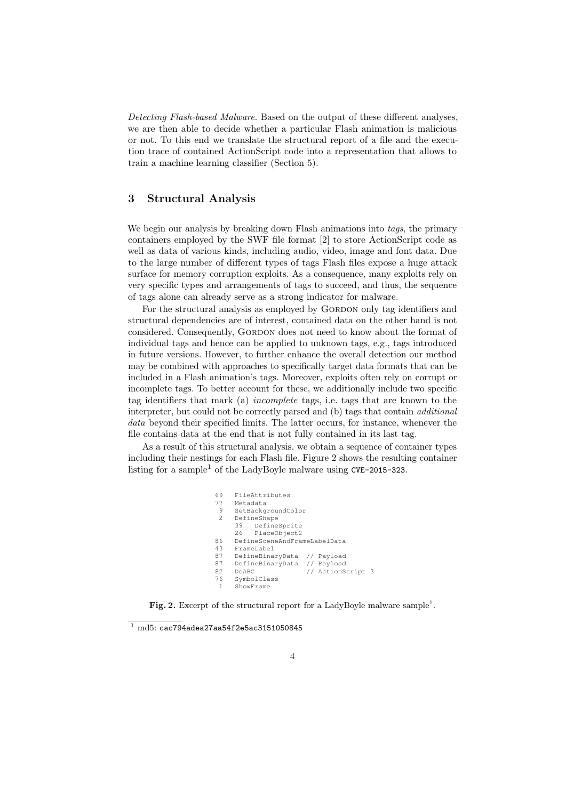Detecting Flash-based Malware. Based on the output of these different analyses, we are then able to decide whether a particular Flash animation is malicious or not. To this end we translate the structural report of a file and the execution trace of contained ActionScript code into a representation that allows to train a machine learning classifier (Section 5).

# 3 Structural Analysis

We begin our analysis by breaking down Flash animations into tags, the primary containers employed by the SWF file format [2] to store ActionScript code as well as data of various kinds, including audio, video, image and font data. Due to the large number of different types of tags Flash files expose a huge attack surface for memory corruption exploits. As a consequence, many exploits rely on very specific types and arrangements of tags to succeed, and thus, the sequence of tags alone can already serve as a strong indicator for malware.

For the structural analysis as employed by GORDON only tag identifiers and structural dependencies are of interest, contained data on the other hand is not considered. Consequently, GORDON does not need to know about the format of individual tags and hence can be applied to unknown tags, e.g., tags introduced in future versions. However, to further enhance the overall detection our method may be combined with approaches to specifically target data formats that can be included in a Flash animation's tags. Moreover, exploits often rely on corrupt or incomplete tags. To better account for these, we additionally include two specific tag identifiers that mark (a) incomplete tags, i.e. tags that are known to the interpreter, but could not be correctly parsed and (b) tags that contain additional data beyond their specified limits. The latter occurs, for instance, whenever the file contains data at the end that is not fully contained in its last tag.

As a result of this structural analysis, we obtain a sequence of container types including their nestings for each Flash file. Figure 2 shows the resulting container listing for a sample<sup>1</sup> of the LadyBoyle malware using  $CVE-2015-323$ .

```
69 FileAttributes<br>77 Metadata
      Metadata
 9 SetBackgroundColor<br>2 DefinaShana
      DefineShape
      39 DefineSprite
      26 PlaceObject2
86 DefineSceneAndFrameLabelData<br>43 FrameLabel
      43 FrameLabel
87 DefineBinaryData // Payload
87 DefineBinaryData // Payload<br>82 DoABC // ActionS
82 DoABC // ActionScript 3<br>76 SymbolClass
 <sup>6</sup> SymbolClass<br>1 ShowFrame
      ShowFrame
```
Fig. 2. Excerpt of the structural report for a LadyBoyle malware sample<sup>1</sup>.

 $^{-1}$  md5: cac794adea27aa54f2e5ac3151050845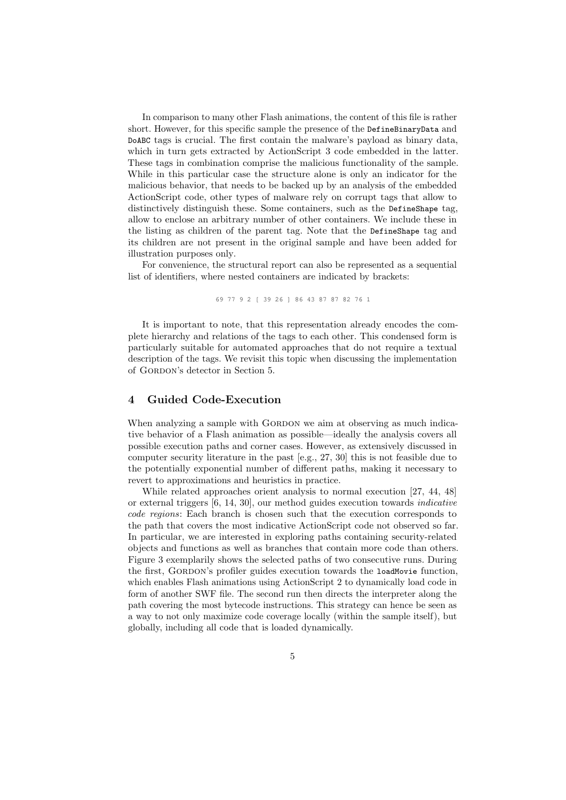In comparison to many other Flash animations, the content of this file is rather short. However, for this specific sample the presence of the DefineBinaryData and DoABC tags is crucial. The first contain the malware's payload as binary data, which in turn gets extracted by ActionScript 3 code embedded in the latter. These tags in combination comprise the malicious functionality of the sample. While in this particular case the structure alone is only an indicator for the malicious behavior, that needs to be backed up by an analysis of the embedded ActionScript code, other types of malware rely on corrupt tags that allow to distinctively distinguish these. Some containers, such as the DefineShape tag, allow to enclose an arbitrary number of other containers. We include these in the listing as children of the parent tag. Note that the DefineShape tag and its children are not present in the original sample and have been added for illustration purposes only.

For convenience, the structural report can also be represented as a sequential list of identifiers, where nested containers are indicated by brackets:

69 77 9 2 [ 39 26 ] 86 43 87 87 82 76 1

It is important to note, that this representation already encodes the complete hierarchy and relations of the tags to each other. This condensed form is particularly suitable for automated approaches that do not require a textual description of the tags. We revisit this topic when discussing the implementation of GORDON's detector in Section 5.

# 4 Guided Code-Execution

When analyzing a sample with GORDON we aim at observing as much indicative behavior of a Flash animation as possible—ideally the analysis covers all possible execution paths and corner cases. However, as extensively discussed in computer security literature in the past [e.g., 27, 30] this is not feasible due to the potentially exponential number of different paths, making it necessary to revert to approximations and heuristics in practice.

While related approaches orient analysis to normal execution [27, 44, 48] or external triggers [6, 14, 30], our method guides execution towards indicative code regions: Each branch is chosen such that the execution corresponds to the path that covers the most indicative ActionScript code not observed so far. In particular, we are interested in exploring paths containing security-related objects and functions as well as branches that contain more code than others. Figure 3 exemplarily shows the selected paths of two consecutive runs. During the first, GORDON's profiler guides execution towards the loadMovie function, which enables Flash animations using ActionScript 2 to dynamically load code in form of another SWF file. The second run then directs the interpreter along the path covering the most bytecode instructions. This strategy can hence be seen as a way to not only maximize code coverage locally (within the sample itself), but globally, including all code that is loaded dynamically.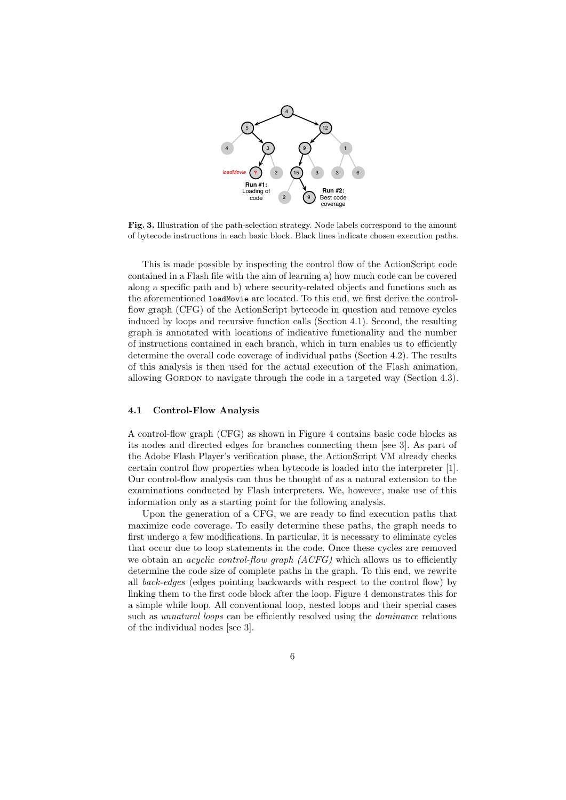

Fig. 3. Illustration of the path-selection strategy. Node labels correspond to the amount of bytecode instructions in each basic block. Black lines indicate chosen execution paths.

This is made possible by inspecting the control flow of the ActionScript code contained in a Flash file with the aim of learning a) how much code can be covered along a specific path and b) where security-related objects and functions such as the aforementioned loadMovie are located. To this end, we first derive the controlflow graph (CFG) of the ActionScript bytecode in question and remove cycles induced by loops and recursive function calls (Section 4.1). Second, the resulting graph is annotated with locations of indicative functionality and the number of instructions contained in each branch, which in turn enables us to efficiently determine the overall code coverage of individual paths (Section 4.2). The results of this analysis is then used for the actual execution of the Flash animation, allowing GORDON to navigate through the code in a targeted way (Section 4.3).

#### 4.1 Control-Flow Analysis

A control-flow graph (CFG) as shown in Figure 4 contains basic code blocks as its nodes and directed edges for branches connecting them [see 3]. As part of the Adobe Flash Player's verification phase, the ActionScript VM already checks certain control flow properties when bytecode is loaded into the interpreter [1]. Our control-flow analysis can thus be thought of as a natural extension to the examinations conducted by Flash interpreters. We, however, make use of this information only as a starting point for the following analysis.

Upon the generation of a CFG, we are ready to find execution paths that maximize code coverage. To easily determine these paths, the graph needs to first undergo a few modifications. In particular, it is necessary to eliminate cycles that occur due to loop statements in the code. Once these cycles are removed we obtain an *acyclic control-flow graph*  $(ACFG)$  which allows us to efficiently determine the code size of complete paths in the graph. To this end, we rewrite all back-edges (edges pointing backwards with respect to the control flow) by linking them to the first code block after the loop. Figure 4 demonstrates this for a simple while loop. All conventional loop, nested loops and their special cases such as unnatural loops can be efficiently resolved using the *dominance* relations of the individual nodes [see 3].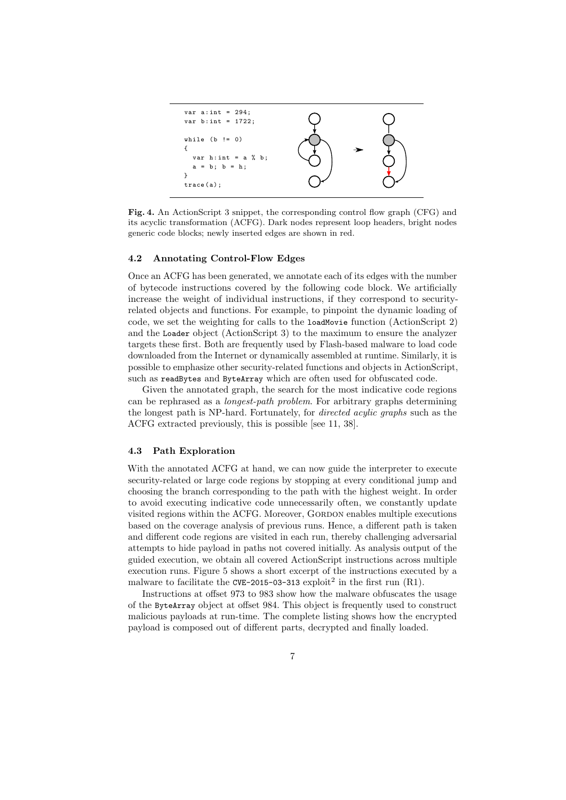

Fig. 4. An ActionScript 3 snippet, the corresponding control flow graph (CFG) and its acyclic transformation (ACFG). Dark nodes represent loop headers, bright nodes generic code blocks; newly inserted edges are shown in red.

#### 4.2 Annotating Control-Flow Edges

Once an ACFG has been generated, we annotate each of its edges with the number of bytecode instructions covered by the following code block. We artificially increase the weight of individual instructions, if they correspond to securityrelated objects and functions. For example, to pinpoint the dynamic loading of code, we set the weighting for calls to the loadMovie function (ActionScript 2) and the Loader object (ActionScript 3) to the maximum to ensure the analyzer targets these first. Both are frequently used by Flash-based malware to load code downloaded from the Internet or dynamically assembled at runtime. Similarly, it is possible to emphasize other security-related functions and objects in ActionScript, such as readBytes and ByteArray which are often used for obfuscated code.

Given the annotated graph, the search for the most indicative code regions can be rephrased as a longest-path problem. For arbitrary graphs determining the longest path is NP-hard. Fortunately, for directed acylic graphs such as the ACFG extracted previously, this is possible [see 11, 38].

### 4.3 Path Exploration

With the annotated ACFG at hand, we can now guide the interpreter to execute security-related or large code regions by stopping at every conditional jump and choosing the branch corresponding to the path with the highest weight. In order to avoid executing indicative code unnecessarily often, we constantly update visited regions within the ACFG. Moreover, GORDON enables multiple executions based on the coverage analysis of previous runs. Hence, a different path is taken and different code regions are visited in each run, thereby challenging adversarial attempts to hide payload in paths not covered initially. As analysis output of the guided execution, we obtain all covered ActionScript instructions across multiple execution runs. Figure 5 shows a short excerpt of the instructions executed by a malware to facilitate the CVE-2015-03-313 exploit<sup>2</sup> in the first run  $(R1)$ .

Instructions at offset 973 to 983 show how the malware obfuscates the usage of the ByteArray object at offset 984. This object is frequently used to construct malicious payloads at run-time. The complete listing shows how the encrypted payload is composed out of different parts, decrypted and finally loaded.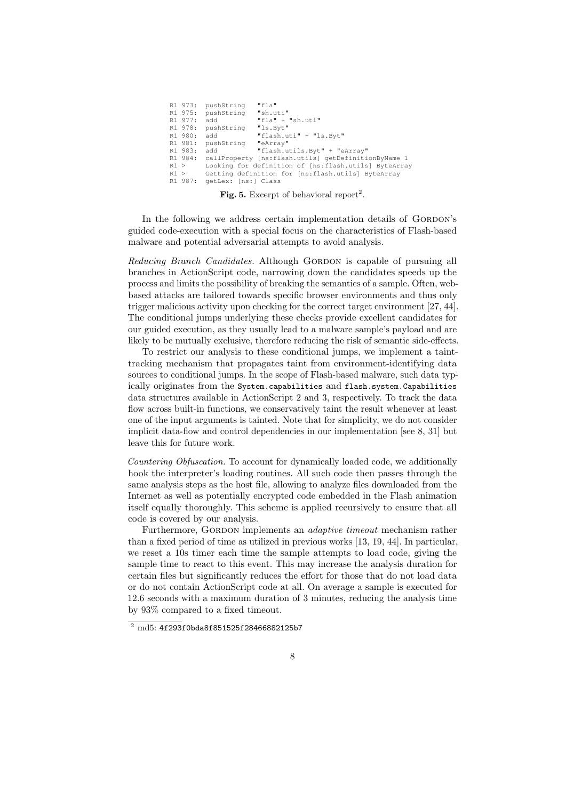|      |         | R1 973: pushString  | "f1a"                                                |
|------|---------|---------------------|------------------------------------------------------|
|      |         | R1 975: pushString  | "sh.uti"                                             |
|      | R1 977: | add                 | "fla" + "sh.uti"                                     |
|      | R1 978: | pushString          | "ls.Byt"                                             |
|      | R1 980: | add                 | "flash.uti" + "ls.Byt"                               |
|      | R1 981: | pushString          | "eArray"                                             |
|      | R1 983: | add                 | "flash.utils.Byt" + "eArray"                         |
|      | R1 984: |                     | callProperty [ns:flash.utils] qetDefinitionByName 1  |
| R1 > |         |                     | Looking for definition of [ns:flash.utils] ByteArray |
|      | R1 > 1  |                     | Getting definition for [ns:flash.utils] ByteArray    |
|      | R1 987: | qetLex: [ns:] Class |                                                      |
|      |         |                     |                                                      |

Fig. 5. Excerpt of behavioral report<sup>2</sup>.

In the following we address certain implementation details of GORDON's guided code-execution with a special focus on the characteristics of Flash-based malware and potential adversarial attempts to avoid analysis.

Reducing Branch Candidates. Although GORDON is capable of pursuing all branches in ActionScript code, narrowing down the candidates speeds up the process and limits the possibility of breaking the semantics of a sample. Often, webbased attacks are tailored towards specific browser environments and thus only trigger malicious activity upon checking for the correct target environment [27, 44]. The conditional jumps underlying these checks provide excellent candidates for our guided execution, as they usually lead to a malware sample's payload and are likely to be mutually exclusive, therefore reducing the risk of semantic side-effects.

To restrict our analysis to these conditional jumps, we implement a tainttracking mechanism that propagates taint from environment-identifying data sources to conditional jumps. In the scope of Flash-based malware, such data typically originates from the System.capabilities and flash.system.Capabilities data structures available in ActionScript 2 and 3, respectively. To track the data flow across built-in functions, we conservatively taint the result whenever at least one of the input arguments is tainted. Note that for simplicity, we do not consider implicit data-flow and control dependencies in our implementation [see 8, 31] but leave this for future work.

Countering Obfuscation. To account for dynamically loaded code, we additionally hook the interpreter's loading routines. All such code then passes through the same analysis steps as the host file, allowing to analyze files downloaded from the Internet as well as potentially encrypted code embedded in the Flash animation itself equally thoroughly. This scheme is applied recursively to ensure that all code is covered by our analysis.

Furthermore, GORDON implements an *adaptive timeout* mechanism rather than a fixed period of time as utilized in previous works [13, 19, 44]. In particular, we reset a 10s timer each time the sample attempts to load code, giving the sample time to react to this event. This may increase the analysis duration for certain files but significantly reduces the effort for those that do not load data or do not contain ActionScript code at all. On average a sample is executed for 12.6 seconds with a maximum duration of 3 minutes, reducing the analysis time by 93% compared to a fixed timeout.

<sup>2</sup> md5: 4f293f0bda8f851525f28466882125b7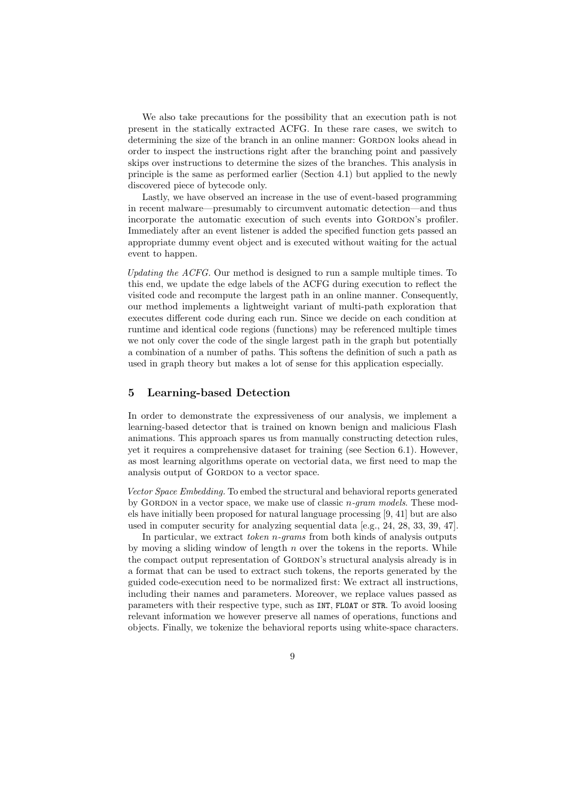We also take precautions for the possibility that an execution path is not present in the statically extracted ACFG. In these rare cases, we switch to determining the size of the branch in an online manner: GORDON looks ahead in order to inspect the instructions right after the branching point and passively skips over instructions to determine the sizes of the branches. This analysis in principle is the same as performed earlier (Section 4.1) but applied to the newly discovered piece of bytecode only.

Lastly, we have observed an increase in the use of event-based programming in recent malware—presumably to circumvent automatic detection—and thus incorporate the automatic execution of such events into GORDON's profiler. Immediately after an event listener is added the specified function gets passed an appropriate dummy event object and is executed without waiting for the actual event to happen.

Updating the ACFG. Our method is designed to run a sample multiple times. To this end, we update the edge labels of the ACFG during execution to reflect the visited code and recompute the largest path in an online manner. Consequently, our method implements a lightweight variant of multi-path exploration that executes different code during each run. Since we decide on each condition at runtime and identical code regions (functions) may be referenced multiple times we not only cover the code of the single largest path in the graph but potentially a combination of a number of paths. This softens the definition of such a path as used in graph theory but makes a lot of sense for this application especially.

# 5 Learning-based Detection

In order to demonstrate the expressiveness of our analysis, we implement a learning-based detector that is trained on known benign and malicious Flash animations. This approach spares us from manually constructing detection rules, yet it requires a comprehensive dataset for training (see Section 6.1). However, as most learning algorithms operate on vectorial data, we first need to map the analysis output of GORDON to a vector space.

Vector Space Embedding. To embed the structural and behavioral reports generated by GORDON in a vector space, we make use of classic  $n$ -gram models. These models have initially been proposed for natural language processing [9, 41] but are also used in computer security for analyzing sequential data [e.g., 24, 28, 33, 39, 47].

In particular, we extract *token n-grams* from both kinds of analysis outputs by moving a sliding window of length  $n$  over the tokens in the reports. While the compact output representation of Gordon's structural analysis already is in a format that can be used to extract such tokens, the reports generated by the guided code-execution need to be normalized first: We extract all instructions, including their names and parameters. Moreover, we replace values passed as parameters with their respective type, such as INT, FLOAT or STR. To avoid loosing relevant information we however preserve all names of operations, functions and objects. Finally, we tokenize the behavioral reports using white-space characters.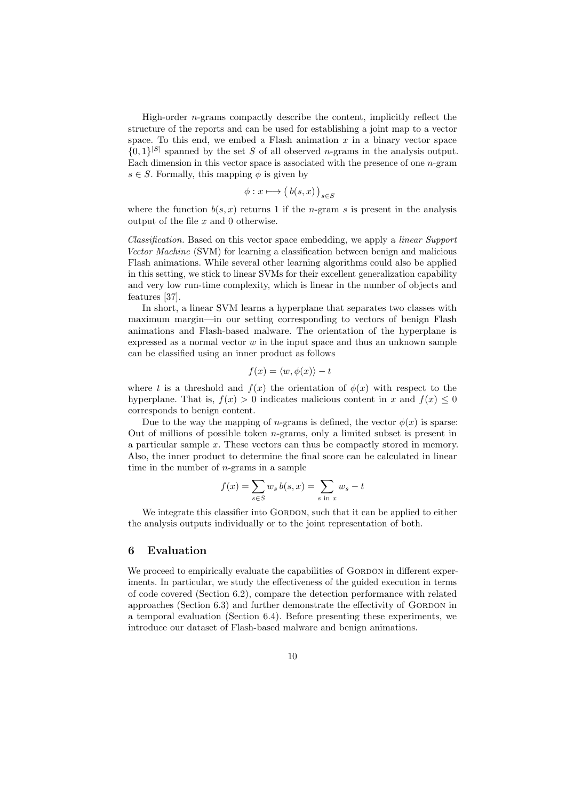High-order n-grams compactly describe the content, implicitly reflect the structure of the reports and can be used for establishing a joint map to a vector space. To this end, we embed a Flash animation  $x$  in a binary vector space  $\{0,1\}^{|S|}$  spanned by the set S of all observed *n*-grams in the analysis output. Each dimension in this vector space is associated with the presence of one n-gram  $s \in S$ . Formally, this mapping  $\phi$  is given by

$$
\phi: x \longmapsto (b(s, x))_{s \in S}
$$

where the function  $b(s, x)$  returns 1 if the *n*-gram s is present in the analysis output of the file x and 0 otherwise.

Classification. Based on this vector space embedding, we apply a linear Support Vector Machine (SVM) for learning a classification between benign and malicious Flash animations. While several other learning algorithms could also be applied in this setting, we stick to linear SVMs for their excellent generalization capability and very low run-time complexity, which is linear in the number of objects and features [37].

In short, a linear SVM learns a hyperplane that separates two classes with maximum margin—in our setting corresponding to vectors of benign Flash animations and Flash-based malware. The orientation of the hyperplane is expressed as a normal vector  $w$  in the input space and thus an unknown sample can be classified using an inner product as follows

$$
f(x) = \langle w, \phi(x) \rangle - t
$$

where t is a threshold and  $f(x)$  the orientation of  $\phi(x)$  with respect to the hyperplane. That is,  $f(x) > 0$  indicates malicious content in x and  $f(x) \leq 0$ corresponds to benign content.

Due to the way the mapping of *n*-grams is defined, the vector  $\phi(x)$  is sparse: Out of millions of possible token  $n$ -grams, only a limited subset is present in a particular sample x. These vectors can thus be compactly stored in memory. Also, the inner product to determine the final score can be calculated in linear time in the number of  $n$ -grams in a sample

$$
f(x) = \sum_{s \in S} w_s b(s, x) = \sum_{s \text{ in } x} w_s - t
$$

We integrate this classifier into GORDON, such that it can be applied to either the analysis outputs individually or to the joint representation of both.

#### 6 Evaluation

We proceed to empirically evaluate the capabilities of GORDON in different experiments. In particular, we study the effectiveness of the guided execution in terms of code covered (Section 6.2), compare the detection performance with related approaches (Section  $6.3$ ) and further demonstrate the effectivity of GORDON in a temporal evaluation (Section 6.4). Before presenting these experiments, we introduce our dataset of Flash-based malware and benign animations.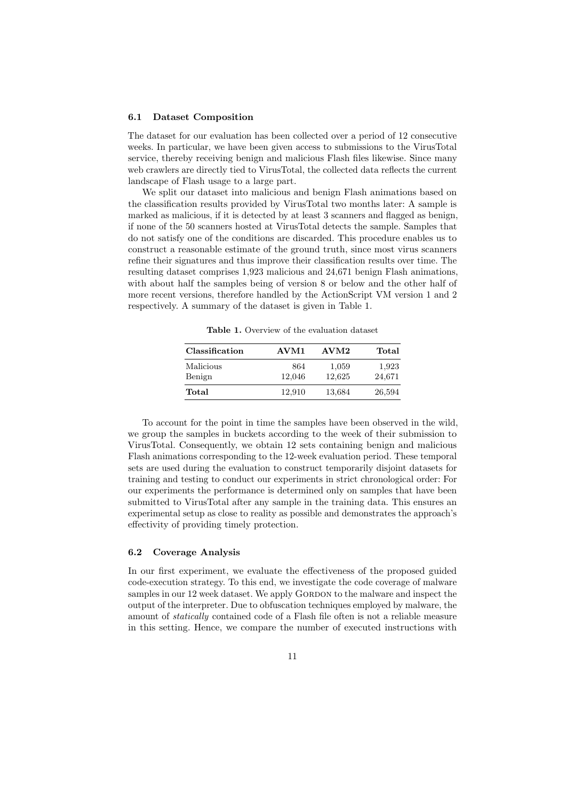#### 6.1 Dataset Composition

The dataset for our evaluation has been collected over a period of 12 consecutive weeks. In particular, we have been given access to submissions to the VirusTotal service, thereby receiving benign and malicious Flash files likewise. Since many web crawlers are directly tied to VirusTotal, the collected data reflects the current landscape of Flash usage to a large part.

We split our dataset into malicious and benign Flash animations based on the classification results provided by VirusTotal two months later: A sample is marked as malicious, if it is detected by at least 3 scanners and flagged as benign, if none of the 50 scanners hosted at VirusTotal detects the sample. Samples that do not satisfy one of the conditions are discarded. This procedure enables us to construct a reasonable estimate of the ground truth, since most virus scanners refine their signatures and thus improve their classification results over time. The resulting dataset comprises 1,923 malicious and 24,671 benign Flash animations, with about half the samples being of version 8 or below and the other half of more recent versions, therefore handled by the ActionScript VM version 1 and 2 respectively. A summary of the dataset is given in Table 1.

Table 1. Overview of the evaluation dataset

| Classification      | AVM1          | AVM2            | Total           |
|---------------------|---------------|-----------------|-----------------|
| Malicious<br>Benign | 864<br>12,046 | 1,059<br>12,625 | 1,923<br>24,671 |
| Total               | 12,910        | 13,684          | 26,594          |

To account for the point in time the samples have been observed in the wild, we group the samples in buckets according to the week of their submission to VirusTotal. Consequently, we obtain 12 sets containing benign and malicious Flash animations corresponding to the 12-week evaluation period. These temporal sets are used during the evaluation to construct temporarily disjoint datasets for training and testing to conduct our experiments in strict chronological order: For our experiments the performance is determined only on samples that have been submitted to VirusTotal after any sample in the training data. This ensures an experimental setup as close to reality as possible and demonstrates the approach's effectivity of providing timely protection.

#### 6.2 Coverage Analysis

In our first experiment, we evaluate the effectiveness of the proposed guided code-execution strategy. To this end, we investigate the code coverage of malware samples in our 12 week dataset. We apply GORDON to the malware and inspect the output of the interpreter. Due to obfuscation techniques employed by malware, the amount of statically contained code of a Flash file often is not a reliable measure in this setting. Hence, we compare the number of executed instructions with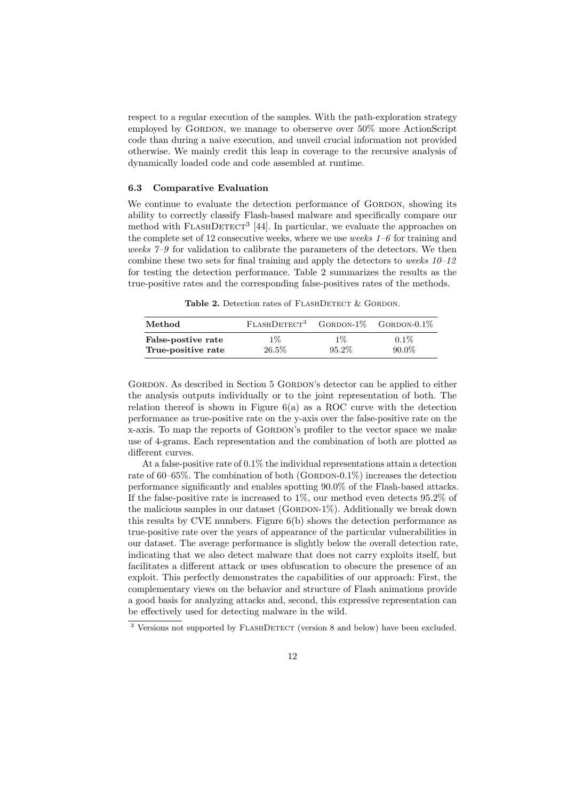respect to a regular execution of the samples. With the path-exploration strategy employed by GORDON, we manage to oberserve over 50% more ActionScript code than during a naive execution, and unveil crucial information not provided otherwise. We mainly credit this leap in coverage to the recursive analysis of dynamically loaded code and code assembled at runtime.

#### 6.3 Comparative Evaluation

We continue to evaluate the detection performance of GORDON, showing its ability to correctly classify Flash-based malware and specifically compare our method with FLASHDETECT<sup>3</sup> [44]. In particular, we evaluate the approaches on the complete set of 12 consecutive weeks, where we use *weeks*  $1-6$  for training and weeks 7–9 for validation to calibrate the parameters of the detectors. We then combine these two sets for final training and apply the detectors to weeks  $10-12$ for testing the detection performance. Table 2 summarizes the results as the true-positive rates and the corresponding false-positives rates of the methods.

Table 2. Detection rates of FLASHDETECT & GORDON.

| Method             | FLASHDETECT <sup>3</sup> |          | GORDON- $1\%$ GORDON- $0.1\%$ |
|--------------------|--------------------------|----------|-------------------------------|
| False-postive rate | $1\%$                    | $1\%$    | $0.1\%$                       |
| True-positive rate | 26.5%                    | $95.2\%$ | $90.0\%$                      |

GORDON. As described in Section 5 GORDON's detector can be applied to either the analysis outputs individually or to the joint representation of both. The relation thereof is shown in Figure  $6(a)$  as a ROC curve with the detection performance as true-positive rate on the y-axis over the false-positive rate on the x-axis. To map the reports of GORDON's profiler to the vector space we make use of 4-grams. Each representation and the combination of both are plotted as different curves.

At a false-positive rate of 0.1% the individual representations attain a detection rate of 60–65%. The combination of both (GORDON-0.1%) increases the detection performance significantly and enables spotting 90.0% of the Flash-based attacks. If the false-positive rate is increased to 1%, our method even detects 95.2% of the malicious samples in our dataset  $(GORDON-1\%)$ . Additionally we break down this results by CVE numbers. Figure 6(b) shows the detection performance as true-positive rate over the years of appearance of the particular vulnerabilities in our dataset. The average performance is slightly below the overall detection rate, indicating that we also detect malware that does not carry exploits itself, but facilitates a different attack or uses obfuscation to obscure the presence of an exploit. This perfectly demonstrates the capabilities of our approach: First, the complementary views on the behavior and structure of Flash animations provide a good basis for analyzing attacks and, second, this expressive representation can be effectively used for detecting malware in the wild.

 $3$  Versions not supported by FLASHDETECT (version 8 and below) have been excluded.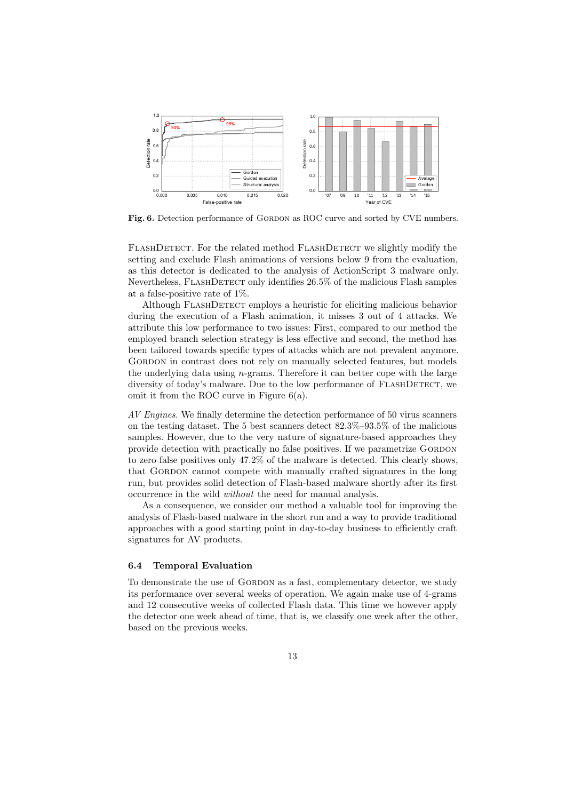

Fig. 6. Detection performance of GORDON as ROC curve and sorted by CVE numbers.

FLASHDETECT. For the related method FLASHDETECT we slightly modify the setting and exclude Flash animations of versions below 9 from the evaluation, as this detector is dedicated to the analysis of ActionScript 3 malware only. Nevertheless, FLASHDETECT only identifies 26.5% of the malicious Flash samples at a false-positive rate of 1%.

Although FLASHDETECT employs a heuristic for eliciting malicious behavior during the execution of a Flash animation, it misses 3 out of 4 attacks. We attribute this low performance to two issues: First, compared to our method the employed branch selection strategy is less effective and second, the method has been tailored towards specific types of attacks which are not prevalent anymore. GORDON in contrast does not rely on manually selected features, but models the underlying data using  $n$ -grams. Therefore it can better cope with the large diversity of today's malware. Due to the low performance of FLASHDETECT, we omit it from the ROC curve in Figure 6(a).

AV Engines. We finally determine the detection performance of 50 virus scanners on the testing dataset. The 5 best scanners detect 82.3%–93.5% of the malicious samples. However, due to the very nature of signature-based approaches they provide detection with practically no false positives. If we parametrize GORDON to zero false positives only 47.2% of the malware is detected. This clearly shows, that GORDON cannot compete with manually crafted signatures in the long run, but provides solid detection of Flash-based malware shortly after its first occurrence in the wild without the need for manual analysis.

As a consequence, we consider our method a valuable tool for improving the analysis of Flash-based malware in the short run and a way to provide traditional approaches with a good starting point in day-to-day business to efficiently craft signatures for AV products.

# 6.4 Temporal Evaluation

To demonstrate the use of GORDON as a fast, complementary detector, we study its performance over several weeks of operation. We again make use of 4-grams and 12 consecutive weeks of collected Flash data. This time we however apply the detector one week ahead of time, that is, we classify one week after the other, based on the previous weeks.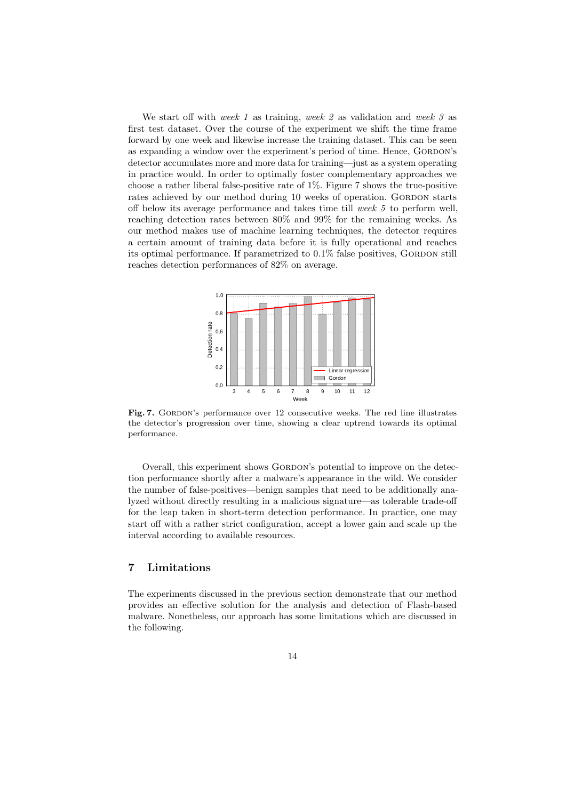We start off with week 1 as training, week 2 as validation and week 3 as first test dataset. Over the course of the experiment we shift the time frame forward by one week and likewise increase the training dataset. This can be seen as expanding a window over the experiment's period of time. Hence, GORDON's detector accumulates more and more data for training—just as a system operating in practice would. In order to optimally foster complementary approaches we choose a rather liberal false-positive rate of 1%. Figure 7 shows the true-positive rates achieved by our method during 10 weeks of operation. GORDON starts off below its average performance and takes time till week 5 to perform well, reaching detection rates between 80% and 99% for the remaining weeks. As our method makes use of machine learning techniques, the detector requires a certain amount of training data before it is fully operational and reaches its optimal performance. If parametrized to  $0.1\%$  false positives, GORDON still reaches detection performances of 82% on average.



Fig. 7. GORDON's performance over 12 consecutive weeks. The red line illustrates the detector's progression over time, showing a clear uptrend towards its optimal performance.

Overall, this experiment shows GORDON's potential to improve on the detection performance shortly after a malware's appearance in the wild. We consider the number of false-positives—benign samples that need to be additionally analyzed without directly resulting in a malicious signature—as tolerable trade-off for the leap taken in short-term detection performance. In practice, one may start off with a rather strict configuration, accept a lower gain and scale up the interval according to available resources.

## 7 Limitations

The experiments discussed in the previous section demonstrate that our method provides an effective solution for the analysis and detection of Flash-based malware. Nonetheless, our approach has some limitations which are discussed in the following.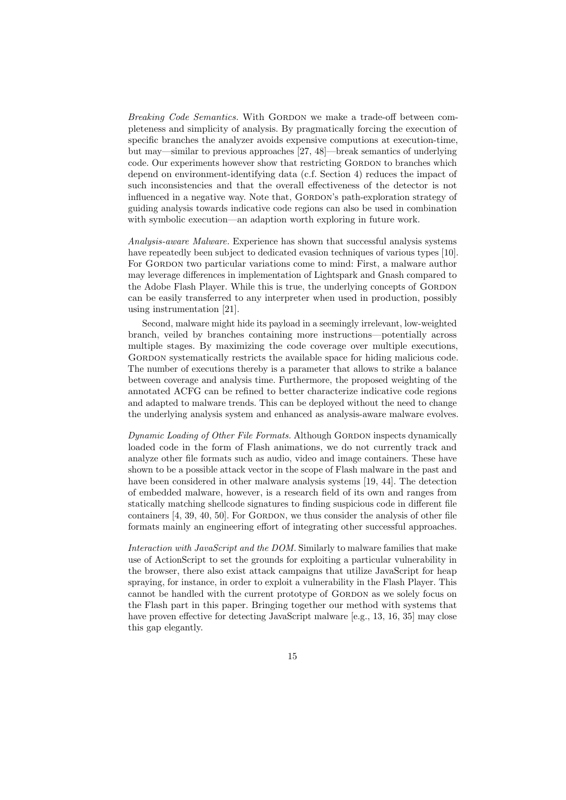Breaking Code Semantics. With GORDON we make a trade-off between completeness and simplicity of analysis. By pragmatically forcing the execution of specific branches the analyzer avoids expensive computions at execution-time, but may—similar to previous approaches [27, 48]—break semantics of underlying code. Our experiments however show that restricting Gordon to branches which depend on environment-identifying data (c.f. Section 4) reduces the impact of such inconsistencies and that the overall effectiveness of the detector is not influenced in a negative way. Note that, GORDON's path-exploration strategy of guiding analysis towards indicative code regions can also be used in combination with symbolic execution—an adaption worth exploring in future work.

Analysis-aware Malware. Experience has shown that successful analysis systems have repeatedly been subject to dedicated evasion techniques of various types [10]. For GORDON two particular variations come to mind: First, a malware author may leverage differences in implementation of Lightspark and Gnash compared to the Adobe Flash Player. While this is true, the underlying concepts of GORDON can be easily transferred to any interpreter when used in production, possibly using instrumentation [21].

Second, malware might hide its payload in a seemingly irrelevant, low-weighted branch, veiled by branches containing more instructions—potentially across multiple stages. By maximizing the code coverage over multiple executions, GORDON systematically restricts the available space for hiding malicious code. The number of executions thereby is a parameter that allows to strike a balance between coverage and analysis time. Furthermore, the proposed weighting of the annotated ACFG can be refined to better characterize indicative code regions and adapted to malware trends. This can be deployed without the need to change the underlying analysis system and enhanced as analysis-aware malware evolves.

Dynamic Loading of Other File Formats. Although GORDON inspects dynamically loaded code in the form of Flash animations, we do not currently track and analyze other file formats such as audio, video and image containers. These have shown to be a possible attack vector in the scope of Flash malware in the past and have been considered in other malware analysis systems [19, 44]. The detection of embedded malware, however, is a research field of its own and ranges from statically matching shellcode signatures to finding suspicious code in different file containers  $[4, 39, 40, 50]$ . For GORDON, we thus consider the analysis of other file formats mainly an engineering effort of integrating other successful approaches.

Interaction with JavaScript and the DOM. Similarly to malware families that make use of ActionScript to set the grounds for exploiting a particular vulnerability in the browser, there also exist attack campaigns that utilize JavaScript for heap spraying, for instance, in order to exploit a vulnerability in the Flash Player. This cannot be handled with the current prototype of GORDON as we solely focus on the Flash part in this paper. Bringing together our method with systems that have proven effective for detecting JavaScript malware [e.g., 13, 16, 35] may close this gap elegantly.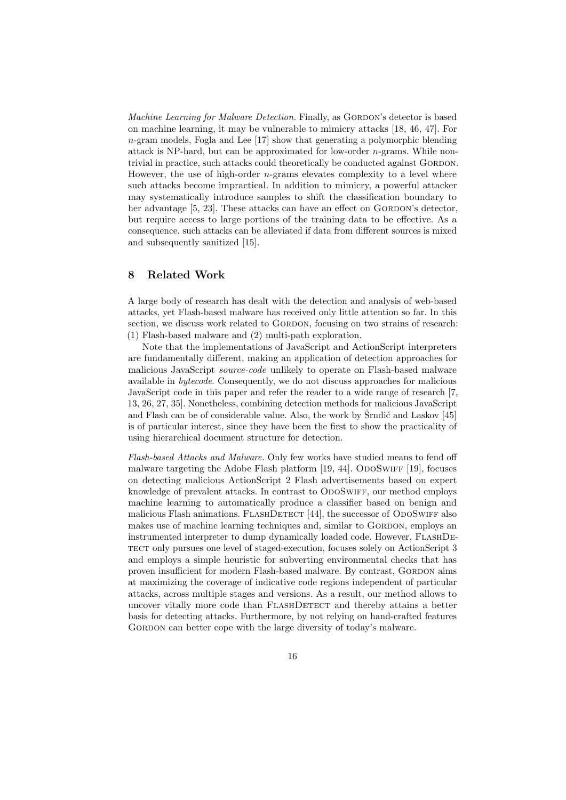Machine Learning for Malware Detection. Finally, as GORDON's detector is based on machine learning, it may be vulnerable to mimicry attacks [18, 46, 47]. For n-gram models, Fogla and Lee [17] show that generating a polymorphic blending attack is NP-hard, but can be approximated for low-order n-grams. While nontrivial in practice, such attacks could theoretically be conducted against GORDON. However, the use of high-order  $n$ -grams elevates complexity to a level where such attacks become impractical. In addition to mimicry, a powerful attacker may systematically introduce samples to shift the classification boundary to her advantage [5, 23]. These attacks can have an effect on GORDON's detector, but require access to large portions of the training data to be effective. As a consequence, such attacks can be alleviated if data from different sources is mixed and subsequently sanitized [15].

# 8 Related Work

A large body of research has dealt with the detection and analysis of web-based attacks, yet Flash-based malware has received only little attention so far. In this section, we discuss work related to GORDON, focusing on two strains of research: (1) Flash-based malware and (2) multi-path exploration.

Note that the implementations of JavaScript and ActionScript interpreters are fundamentally different, making an application of detection approaches for malicious JavaScript source-code unlikely to operate on Flash-based malware available in bytecode. Consequently, we do not discuss approaches for malicious JavaScript code in this paper and refer the reader to a wide range of research [7, 13, 26, 27, 35]. Nonetheless, combining detection methods for malicious JavaScript and Flash can be of considerable value. Also, the work by Srndić and Laskov  $[45]$ is of particular interest, since they have been the first to show the practicality of using hierarchical document structure for detection.

Flash-based Attacks and Malware. Only few works have studied means to fend off malware targeting the Adobe Flash platform  $[19, 44]$ . ODOSWIFF  $[19]$ , focuses on detecting malicious ActionScript 2 Flash advertisements based on expert knowledge of prevalent attacks. In contrast to ODOSWIFF, our method employs machine learning to automatically produce a classifier based on benign and malicious Flash animations. FLASHDETECT [44], the successor of ODOSWIFF also makes use of machine learning techniques and, similar to GORDON, employs an instrumented interpreter to dump dynamically loaded code. However, FlashDe-TECT only pursues one level of staged-execution, focuses solely on ActionScript 3 and employs a simple heuristic for subverting environmental checks that has proven insufficient for modern Flash-based malware. By contrast, GORDON aims at maximizing the coverage of indicative code regions independent of particular attacks, across multiple stages and versions. As a result, our method allows to uncover vitally more code than FLASHDETECT and thereby attains a better basis for detecting attacks. Furthermore, by not relying on hand-crafted features GORDON can better cope with the large diversity of today's malware.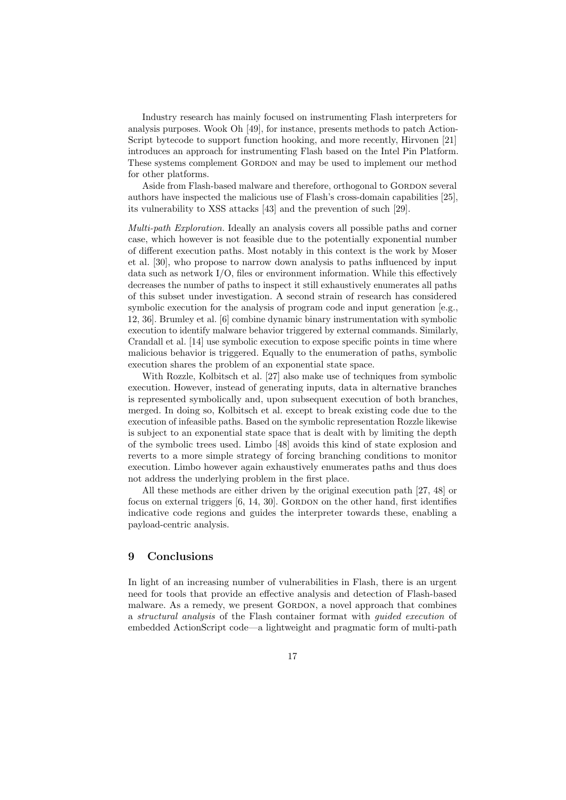Industry research has mainly focused on instrumenting Flash interpreters for analysis purposes. Wook Oh [49], for instance, presents methods to patch Action-Script bytecode to support function hooking, and more recently, Hirvonen [21] introduces an approach for instrumenting Flash based on the Intel Pin Platform. These systems complement GORDON and may be used to implement our method for other platforms.

Aside from Flash-based malware and therefore, orthogonal to GORDON several authors have inspected the malicious use of Flash's cross-domain capabilities [25], its vulnerability to XSS attacks [43] and the prevention of such [29].

Multi-path Exploration. Ideally an analysis covers all possible paths and corner case, which however is not feasible due to the potentially exponential number of different execution paths. Most notably in this context is the work by Moser et al. [30], who propose to narrow down analysis to paths influenced by input data such as network I/O, files or environment information. While this effectively decreases the number of paths to inspect it still exhaustively enumerates all paths of this subset under investigation. A second strain of research has considered symbolic execution for the analysis of program code and input generation [e.g., 12, 36]. Brumley et al. [6] combine dynamic binary instrumentation with symbolic execution to identify malware behavior triggered by external commands. Similarly, Crandall et al. [14] use symbolic execution to expose specific points in time where malicious behavior is triggered. Equally to the enumeration of paths, symbolic execution shares the problem of an exponential state space.

With Rozzle, Kolbitsch et al. [27] also make use of techniques from symbolic execution. However, instead of generating inputs, data in alternative branches is represented symbolically and, upon subsequent execution of both branches, merged. In doing so, Kolbitsch et al. except to break existing code due to the execution of infeasible paths. Based on the symbolic representation Rozzle likewise is subject to an exponential state space that is dealt with by limiting the depth of the symbolic trees used. Limbo [48] avoids this kind of state explosion and reverts to a more simple strategy of forcing branching conditions to monitor execution. Limbo however again exhaustively enumerates paths and thus does not address the underlying problem in the first place.

All these methods are either driven by the original execution path [27, 48] or focus on external triggers  $[6, 14, 30]$ . GORDON on the other hand, first identifies indicative code regions and guides the interpreter towards these, enabling a payload-centric analysis.

# 9 Conclusions

In light of an increasing number of vulnerabilities in Flash, there is an urgent need for tools that provide an effective analysis and detection of Flash-based malware. As a remedy, we present GORDON, a novel approach that combines a structural analysis of the Flash container format with guided execution of embedded ActionScript code—a lightweight and pragmatic form of multi-path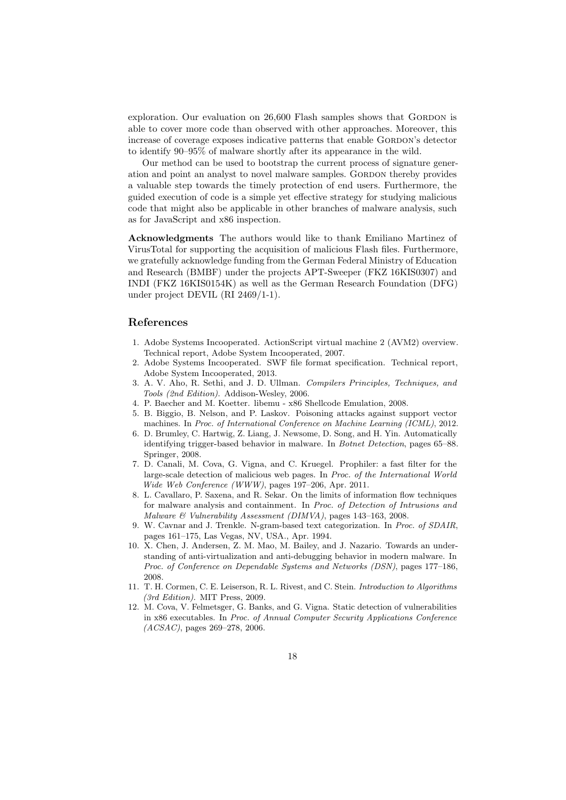exploration. Our evaluation on 26,600 Flash samples shows that GORDON is able to cover more code than observed with other approaches. Moreover, this increase of coverage exposes indicative patterns that enable GORDON's detector to identify 90–95% of malware shortly after its appearance in the wild.

Our method can be used to bootstrap the current process of signature generation and point an analyst to novel malware samples. GORDON thereby provides a valuable step towards the timely protection of end users. Furthermore, the guided execution of code is a simple yet effective strategy for studying malicious code that might also be applicable in other branches of malware analysis, such as for JavaScript and x86 inspection.

Acknowledgments The authors would like to thank Emiliano Martinez of VirusTotal for supporting the acquisition of malicious Flash files. Furthermore, we gratefully acknowledge funding from the German Federal Ministry of Education and Research (BMBF) under the projects APT-Sweeper (FKZ 16KIS0307) and INDI (FKZ 16KIS0154K) as well as the German Research Foundation (DFG) under project DEVIL (RI 2469/1-1).

## References

- 1. Adobe Systems Incooperated. ActionScript virtual machine 2 (AVM2) overview. Technical report, Adobe System Incooperated, 2007.
- 2. Adobe Systems Incooperated. SWF file format specification. Technical report, Adobe System Incooperated, 2013.
- 3. A. V. Aho, R. Sethi, and J. D. Ullman. Compilers Principles, Techniques, and Tools (2nd Edition). Addison-Wesley, 2006.
- 4. P. Baecher and M. Koetter. libemu x86 Shellcode Emulation, 2008.
- 5. B. Biggio, B. Nelson, and P. Laskov. Poisoning attacks against support vector machines. In Proc. of International Conference on Machine Learning (ICML), 2012.
- 6. D. Brumley, C. Hartwig, Z. Liang, J. Newsome, D. Song, and H. Yin. Automatically identifying trigger-based behavior in malware. In Botnet Detection, pages 65–88. Springer, 2008.
- 7. D. Canali, M. Cova, G. Vigna, and C. Kruegel. Prophiler: a fast filter for the large-scale detection of malicious web pages. In Proc. of the International World Wide Web Conference (WWW), pages 197–206, Apr. 2011.
- 8. L. Cavallaro, P. Saxena, and R. Sekar. On the limits of information flow techniques for malware analysis and containment. In Proc. of Detection of Intrusions and Malware & Vulnerability Assessment (DIMVA), pages 143–163, 2008.
- 9. W. Cavnar and J. Trenkle. N-gram-based text categorization. In Proc. of SDAIR, pages 161–175, Las Vegas, NV, USA., Apr. 1994.
- 10. X. Chen, J. Andersen, Z. M. Mao, M. Bailey, and J. Nazario. Towards an understanding of anti-virtualization and anti-debugging behavior in modern malware. In Proc. of Conference on Dependable Systems and Networks (DSN), pages 177–186, 2008.
- 11. T. H. Cormen, C. E. Leiserson, R. L. Rivest, and C. Stein. Introduction to Algorithms (3rd Edition). MIT Press, 2009.
- 12. M. Cova, V. Felmetsger, G. Banks, and G. Vigna. Static detection of vulnerabilities in x86 executables. In Proc. of Annual Computer Security Applications Conference (ACSAC), pages 269–278, 2006.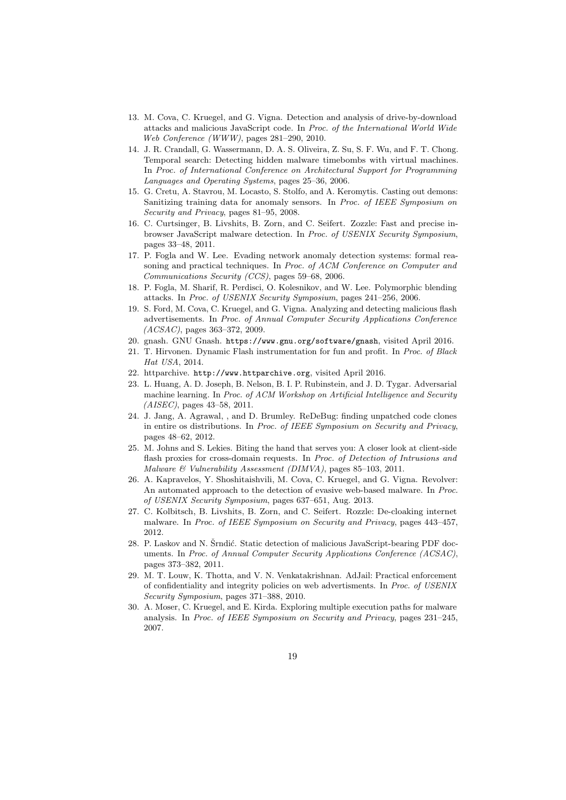- 13. M. Cova, C. Kruegel, and G. Vigna. Detection and analysis of drive-by-download attacks and malicious JavaScript code. In Proc. of the International World Wide Web Conference (WWW), pages 281–290, 2010.
- 14. J. R. Crandall, G. Wassermann, D. A. S. Oliveira, Z. Su, S. F. Wu, and F. T. Chong. Temporal search: Detecting hidden malware timebombs with virtual machines. In Proc. of International Conference on Architectural Support for Programming Languages and Operating Systems, pages 25–36, 2006.
- 15. G. Cretu, A. Stavrou, M. Locasto, S. Stolfo, and A. Keromytis. Casting out demons: Sanitizing training data for anomaly sensors. In Proc. of IEEE Symposium on Security and Privacy, pages 81–95, 2008.
- 16. C. Curtsinger, B. Livshits, B. Zorn, and C. Seifert. Zozzle: Fast and precise inbrowser JavaScript malware detection. In Proc. of USENIX Security Symposium, pages 33–48, 2011.
- 17. P. Fogla and W. Lee. Evading network anomaly detection systems: formal reasoning and practical techniques. In Proc. of ACM Conference on Computer and Communications Security (CCS), pages 59–68, 2006.
- 18. P. Fogla, M. Sharif, R. Perdisci, O. Kolesnikov, and W. Lee. Polymorphic blending attacks. In Proc. of USENIX Security Symposium, pages 241–256, 2006.
- 19. S. Ford, M. Cova, C. Kruegel, and G. Vigna. Analyzing and detecting malicious flash advertisements. In Proc. of Annual Computer Security Applications Conference (ACSAC), pages 363–372, 2009.
- 20. gnash. GNU Gnash. https://www.gnu.org/software/gnash, visited April 2016.
- 21. T. Hirvonen. Dynamic Flash instrumentation for fun and profit. In Proc. of Black Hat USA, 2014.
- 22. httparchive. http://www.httparchive.org, visited April 2016.
- 23. L. Huang, A. D. Joseph, B. Nelson, B. I. P. Rubinstein, and J. D. Tygar. Adversarial machine learning. In Proc. of ACM Workshop on Artificial Intelligence and Security (AISEC), pages 43–58, 2011.
- 24. J. Jang, A. Agrawal, , and D. Brumley. ReDeBug: finding unpatched code clones in entire os distributions. In Proc. of IEEE Symposium on Security and Privacy, pages 48–62, 2012.
- 25. M. Johns and S. Lekies. Biting the hand that serves you: A closer look at client-side flash proxies for cross-domain requests. In Proc. of Detection of Intrusions and Malware & Vulnerability Assessment (DIMVA), pages 85-103, 2011.
- 26. A. Kapravelos, Y. Shoshitaishvili, M. Cova, C. Kruegel, and G. Vigna. Revolver: An automated approach to the detection of evasive web-based malware. In Proc. of USENIX Security Symposium, pages 637–651, Aug. 2013.
- 27. C. Kolbitsch, B. Livshits, B. Zorn, and C. Seifert. Rozzle: De-cloaking internet malware. In Proc. of IEEE Symposium on Security and Privacy, pages 443–457, 2012.
- 28. P. Laskov and N. Šrndić. Static detection of malicious JavaScript-bearing PDF documents. In Proc. of Annual Computer Security Applications Conference (ACSAC), pages 373–382, 2011.
- 29. M. T. Louw, K. Thotta, and V. N. Venkatakrishnan. AdJail: Practical enforcement of confidentiality and integrity policies on web advertisments. In Proc. of USENIX Security Symposium, pages 371–388, 2010.
- 30. A. Moser, C. Kruegel, and E. Kirda. Exploring multiple execution paths for malware analysis. In Proc. of IEEE Symposium on Security and Privacy, pages 231–245, 2007.